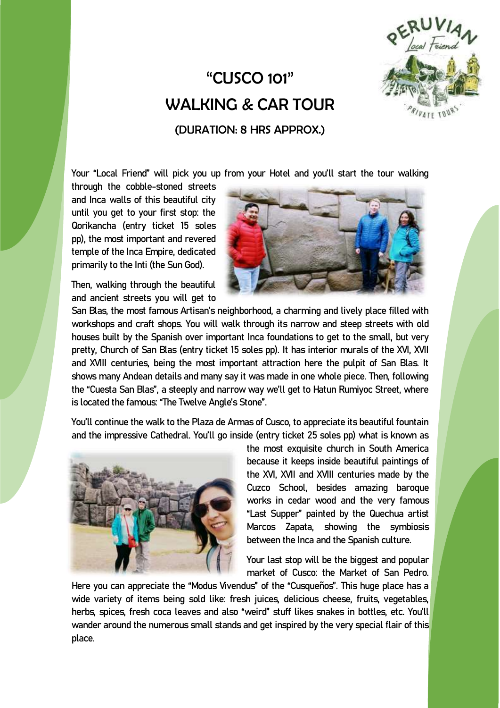## "CUSCO 101" WALKING & CAR TOUR



(DURATION: 8 HRS APPROX.)

Your "Local Friend" will pick you up from your Hotel and you'll start the tour walking

through the cobble-stoned streets and Inca walls of this beautiful city until you get to your first stop: the Qorikancha (entry ticket 15 soles pp), the most important and revered temple of the Inca Empire, dedicated primarily to the Inti (the Sun God**).**

Then, walking through the beautiful and ancient streets you will get to



San Blas, the most famous Artisan's neighborhood, a charming and lively place filled with workshops and craft shops. You will walk through its narrow and steep streets with old houses built by the Spanish over important Inca foundations to get to the small, but very pretty, Church of San Blas (entry ticket 15 soles pp). It has interior murals of the XVI, XVII and XVIII centuries, being the most important attraction here the pulpit of San Blas. It shows many Andean details and many say it was made in one whole piece. Then, following the "Cuesta San Blas", a steeply and narrow way we'll get to Hatun Rumiyoc Street, where is located the famous: "The Twelve Angle's Stone".

You'll continue the walk to the Plaza de Armas of Cusco, to appreciate its beautiful fountain and the impressive Cathedral. You'll go inside (entry ticket 25 soles pp) what is known as



the most exquisite church in South America because it keeps inside beautiful paintings of the XVI, XVII and XVIII centuries made by the Cuzco School, besides amazing baroque works in cedar wood and the very famous "Last Supper" painted by the Quechua artist Marcos Zapata, showing the symbiosis between the Inca and the Spanish culture.

Your last stop will be the biggest and popular market of Cusco: the Market of San Pedro.

Here you can appreciate the "Modus Vivendus" of the "Cusqueños". This huge place has a wide variety of items being sold like: fresh juices, delicious cheese, fruits, vegetables, herbs, spices, fresh coca leaves and also "weird" stuff likes snakes in bottles, etc. You'll wander around the numerous small stands and get inspired by the very special flair of this place.